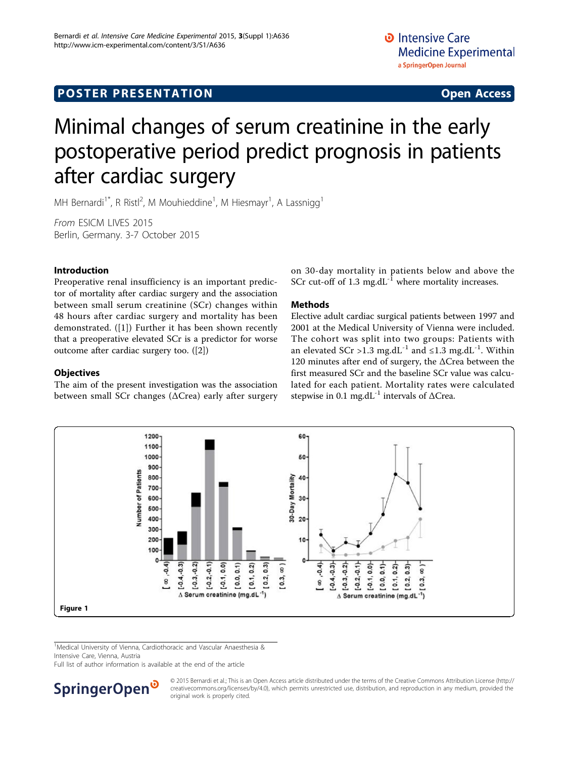# <span id="page-0-0"></span>**POSTER PRESENTATION CONSUMING ACCESS**

# Minimal changes of serum creatinine in the early postoperative period predict prognosis in patients after cardiac surgery

MH Bernardi<sup>1\*</sup>, R Ristl<sup>2</sup>, M Mouhieddine<sup>1</sup>, M Hiesmayr<sup>1</sup>, A Lassnigg<sup>1</sup>

From ESICM LIVES 2015 Berlin, Germany. 3-7 October 2015

# Introduction

Preoperative renal insufficiency is an important predictor of mortality after cardiac surgery and the association between small serum creatinine (SCr) changes within 48 hours after cardiac surgery and mortality has been demonstrated. ([[1\]](#page-1-0)) Further it has been shown recently that a preoperative elevated SCr is a predictor for worse outcome after cardiac surgery too. ([\[2](#page-1-0)])

## **Objectives**

The aim of the present investigation was the association between small SCr changes (ΔCrea) early after surgery on 30-day mortality in patients below and above the SCr cut-off of  $1.3 \text{ mg.dL}^{-1}$  where mortality increases.

# Methods

Elective adult cardiac surgical patients between 1997 and 2001 at the Medical University of Vienna were included. The cohort was split into two groups: Patients with an elevated SCr >1.3 mg.dL<sup>-1</sup> and  $\leq$ 1.3 mg.dL<sup>-1</sup>. Within 120 minutes after end of surgery, the ΔCrea between the first measured SCr and the baseline SCr value was calculated for each patient. Mortality rates were calculated stepwise in 0.1 mg.dL<sup>-1</sup> intervals of  $\Delta C$ rea.



<sup>1</sup>Medical University of Vienna, Cardiothoracic and Vascular Anaesthesia & Intensive Care, Vienna, Austria

Full list of author information is available at the end of the article



© 2015 Bernardi et al.; This is an Open Access article distributed under the terms of the Creative Commons Attribution License [\(http://](http://creativecommons.org/licenses/by/4.0) [creativecommons.org/licenses/by/4.0](http://creativecommons.org/licenses/by/4.0)), which permits unrestricted use, distribution, and reproduction in any medium, provided the original work is properly cited.